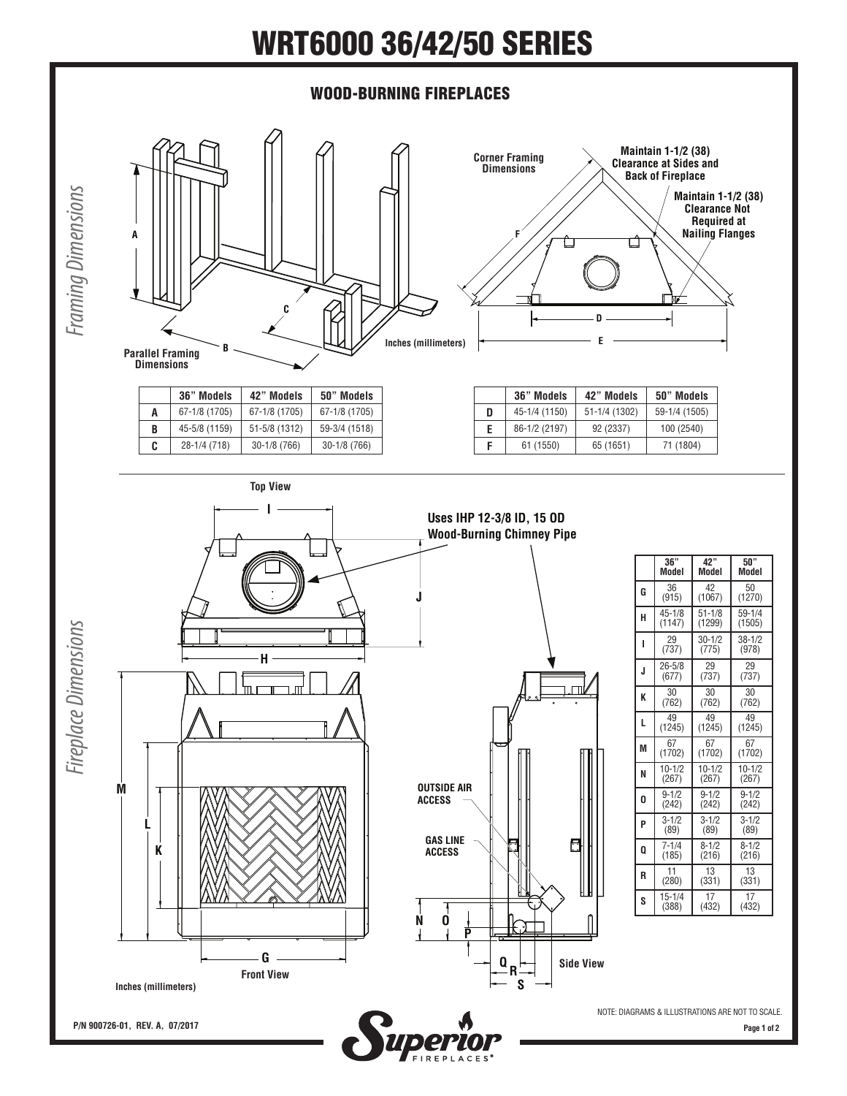## WRT6000 36/42/50 SERIES



**Page 1 of 2**